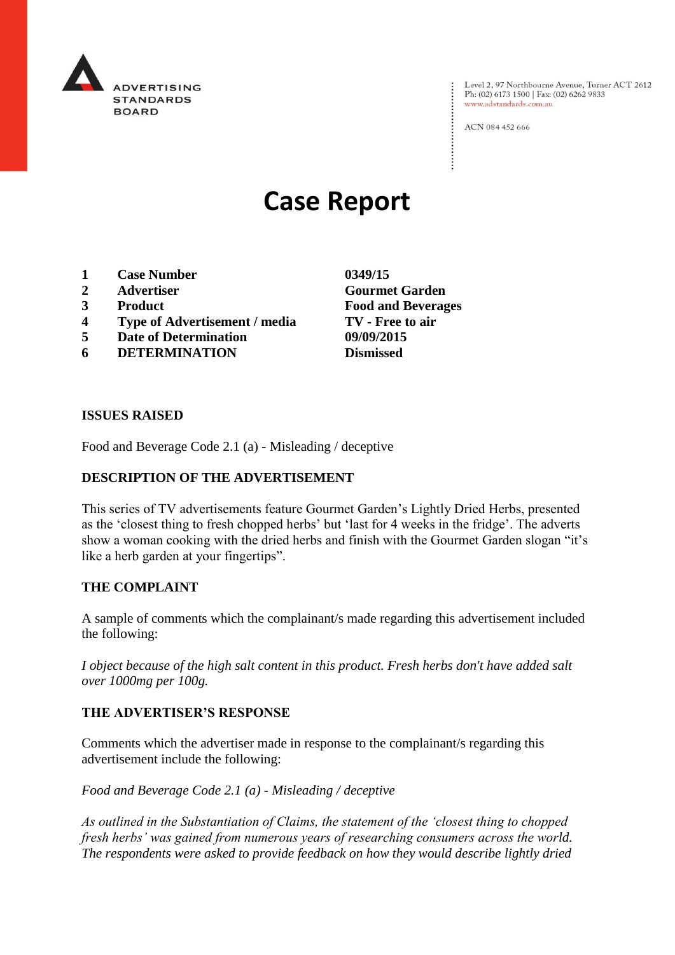

Level 2, 97 Northbourne Avenue, Turner ACT 2612 Ph: (02) 6173 1500 | Fax: (02) 6262 9833 www.adstandards.com.au

ACN 084 452 666

# **Case Report**

- **1 Case Number 0349/15**
- 
- 
- **4 Type of Advertisement / media TV - Free to air**
- **5 Date of Determination 09/09/2015**
- **6 DETERMINATION Dismissed**

**2 Advertiser Gourmet Garden 3 Product Food and Beverages**

#### **ISSUES RAISED**

Food and Beverage Code 2.1 (a) - Misleading / deceptive

### **DESCRIPTION OF THE ADVERTISEMENT**

This series of TV advertisements feature Gourmet Garden's Lightly Dried Herbs, presented as the 'closest thing to fresh chopped herbs' but 'last for 4 weeks in the fridge'. The adverts show a woman cooking with the dried herbs and finish with the Gourmet Garden slogan "it's like a herb garden at your fingertips".

#### **THE COMPLAINT**

A sample of comments which the complainant/s made regarding this advertisement included the following:

*I object because of the high salt content in this product. Fresh herbs don't have added salt over 1000mg per 100g.*

#### **THE ADVERTISER'S RESPONSE**

Comments which the advertiser made in response to the complainant/s regarding this advertisement include the following:

*Food and Beverage Code 2.1 (a) - Misleading / deceptive*

*As outlined in the Substantiation of Claims, the statement of the 'closest thing to chopped fresh herbs' was gained from numerous years of researching consumers across the world. The respondents were asked to provide feedback on how they would describe lightly dried*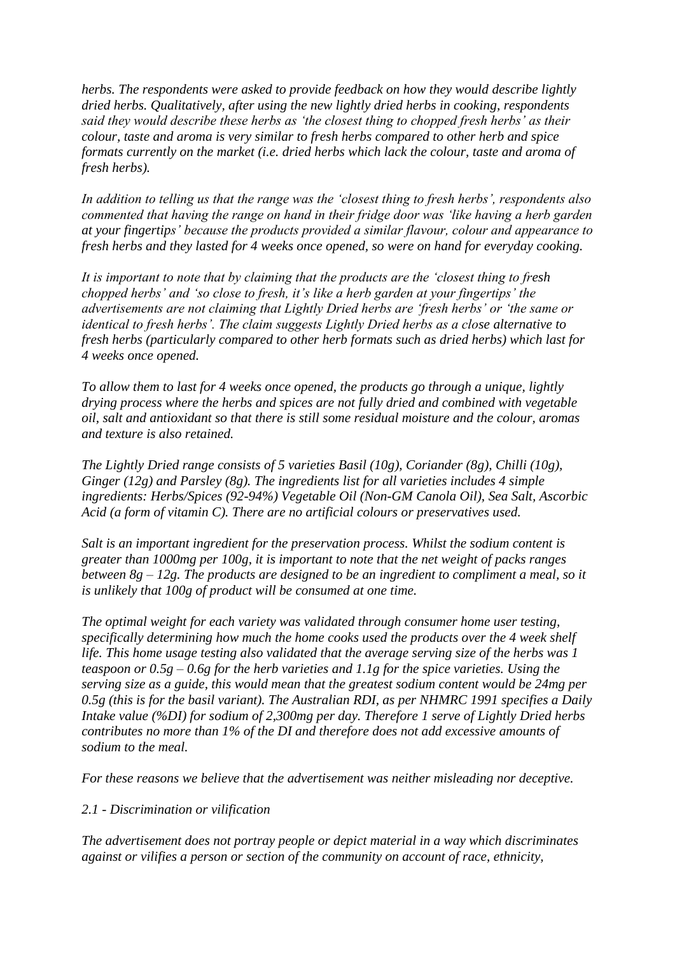*herbs. The respondents were asked to provide feedback on how they would describe lightly dried herbs. Qualitatively, after using the new lightly dried herbs in cooking, respondents said they would describe these herbs as 'the closest thing to chopped fresh herbs' as their colour, taste and aroma is very similar to fresh herbs compared to other herb and spice formats currently on the market (i.e. dried herbs which lack the colour, taste and aroma of fresh herbs).* 

*In addition to telling us that the range was the 'closest thing to fresh herbs', respondents also commented that having the range on hand in their fridge door was 'like having a herb garden at your fingertips' because the products provided a similar flavour, colour and appearance to fresh herbs and they lasted for 4 weeks once opened, so were on hand for everyday cooking.*

*It is important to note that by claiming that the products are the 'closest thing to fresh chopped herbs' and 'so close to fresh, it's like a herb garden at your fingertips' the advertisements are not claiming that Lightly Dried herbs are 'fresh herbs' or 'the same or identical to fresh herbs'. The claim suggests Lightly Dried herbs as a close alternative to fresh herbs (particularly compared to other herb formats such as dried herbs) which last for 4 weeks once opened.*

*To allow them to last for 4 weeks once opened, the products go through a unique, lightly drying process where the herbs and spices are not fully dried and combined with vegetable oil, salt and antioxidant so that there is still some residual moisture and the colour, aromas and texture is also retained.* 

*The Lightly Dried range consists of 5 varieties Basil (10g), Coriander (8g), Chilli (10g), Ginger (12g) and Parsley (8g). The ingredients list for all varieties includes 4 simple ingredients: Herbs/Spices (92-94%) Vegetable Oil (Non-GM Canola Oil), Sea Salt, Ascorbic Acid (a form of vitamin C). There are no artificial colours or preservatives used.*

*Salt is an important ingredient for the preservation process. Whilst the sodium content is greater than 1000mg per 100g, it is important to note that the net weight of packs ranges between 8g – 12g. The products are designed to be an ingredient to compliment a meal, so it is unlikely that 100g of product will be consumed at one time.* 

*The optimal weight for each variety was validated through consumer home user testing, specifically determining how much the home cooks used the products over the 4 week shelf life. This home usage testing also validated that the average serving size of the herbs was 1 teaspoon or 0.5g – 0.6g for the herb varieties and 1.1g for the spice varieties. Using the serving size as a guide, this would mean that the greatest sodium content would be 24mg per 0.5g (this is for the basil variant). The Australian RDI, as per NHMRC 1991 specifies a Daily Intake value (%DI) for sodium of 2,300mg per day. Therefore 1 serve of Lightly Dried herbs contributes no more than 1% of the DI and therefore does not add excessive amounts of sodium to the meal.*

*For these reasons we believe that the advertisement was neither misleading nor deceptive.*

## *2.1 - Discrimination or vilification*

*The advertisement does not portray people or depict material in a way which discriminates against or vilifies a person or section of the community on account of race, ethnicity,*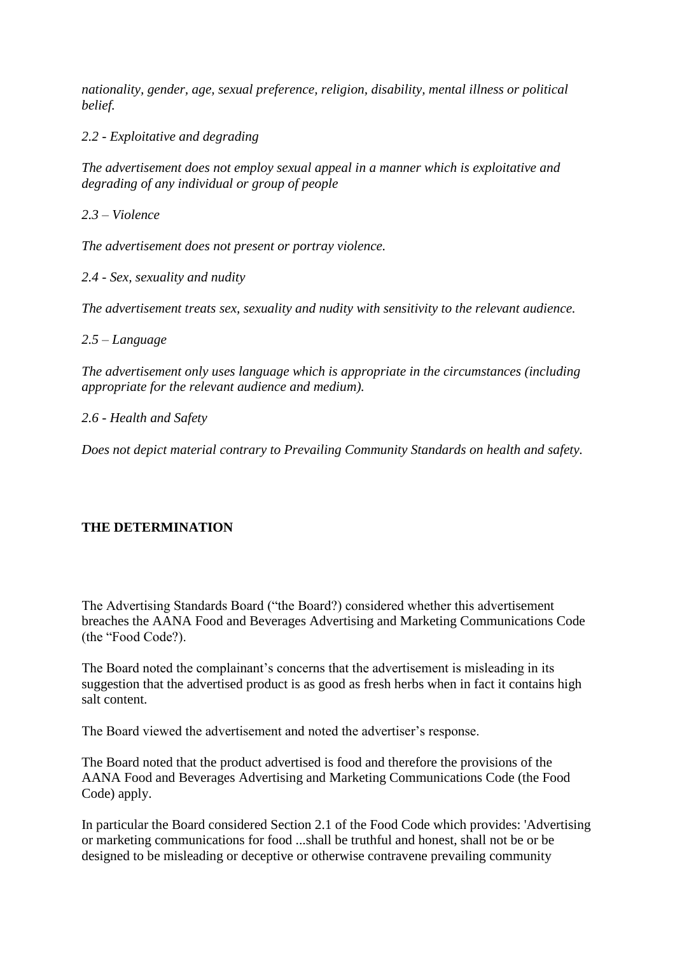*nationality, gender, age, sexual preference, religion, disability, mental illness or political belief.*

*2.2 - Exploitative and degrading*

*The advertisement does not employ sexual appeal in a manner which is exploitative and degrading of any individual or group of people*

*2.3 – Violence*

*The advertisement does not present or portray violence.*

*2.4 - Sex, sexuality and nudity*

*The advertisement treats sex, sexuality and nudity with sensitivity to the relevant audience.*

*2.5 – Language*

*The advertisement only uses language which is appropriate in the circumstances (including appropriate for the relevant audience and medium).* 

*2.6 - Health and Safety*

*Does not depict material contrary to Prevailing Community Standards on health and safety.*

## **THE DETERMINATION**

The Advertising Standards Board ("the Board?) considered whether this advertisement breaches the AANA Food and Beverages Advertising and Marketing Communications Code (the "Food Code?).

The Board noted the complainant's concerns that the advertisement is misleading in its suggestion that the advertised product is as good as fresh herbs when in fact it contains high salt content.

The Board viewed the advertisement and noted the advertiser's response.

The Board noted that the product advertised is food and therefore the provisions of the AANA Food and Beverages Advertising and Marketing Communications Code (the Food Code) apply.

In particular the Board considered Section 2.1 of the Food Code which provides: 'Advertising or marketing communications for food ...shall be truthful and honest, shall not be or be designed to be misleading or deceptive or otherwise contravene prevailing community